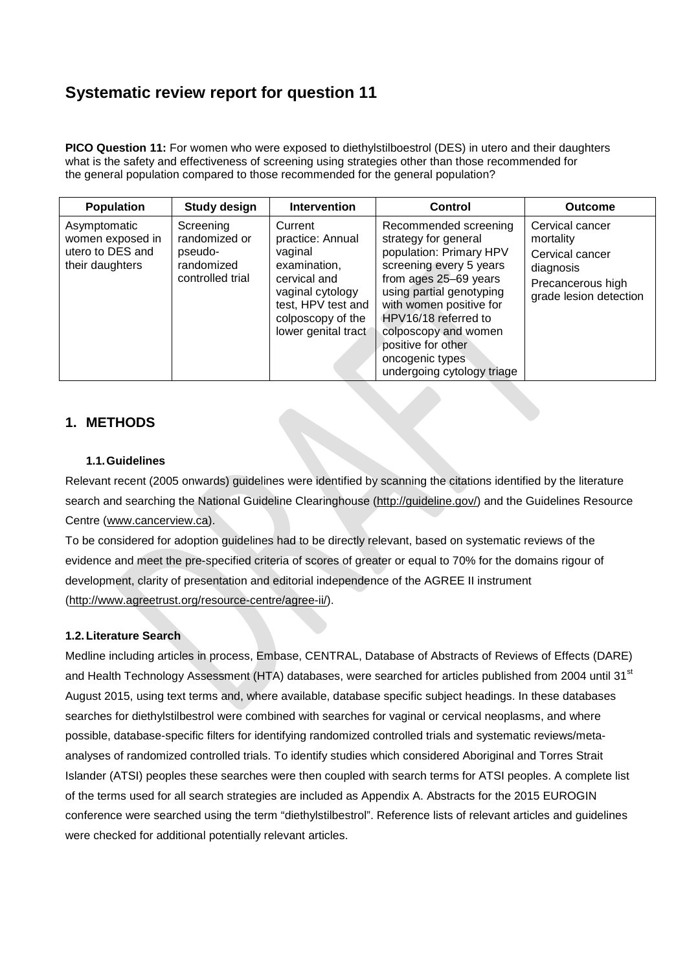# **Systematic review report for question 11**

**PICO Question 11:** [For women who were exposed to diethylstilboestrol \(DES\) in utero](http://www.anzgog.org.au/donate) and their daughters [what is](http://www.anzgog.org.au/donate) [the safety and effectiveness of screening using strategies other than those recommended for](http://www.anzgog.org.au/donate) [the general population compared to those recommended for the general population?](http://www.anzgog.org.au/donate)

| <b>Population</b>                                                       | <b>Study design</b>                                                     | <b>Intervention</b>                                                                                                                                          | Control                                                                                                                                                                                                                                                                                                    | <b>Outcome</b>                                                                                              |
|-------------------------------------------------------------------------|-------------------------------------------------------------------------|--------------------------------------------------------------------------------------------------------------------------------------------------------------|------------------------------------------------------------------------------------------------------------------------------------------------------------------------------------------------------------------------------------------------------------------------------------------------------------|-------------------------------------------------------------------------------------------------------------|
| Asymptomatic<br>women exposed in<br>utero to DES and<br>their daughters | Screening<br>randomized or<br>pseudo-<br>randomized<br>controlled trial | Current<br>practice: Annual<br>vaginal<br>examination,<br>cervical and<br>vaginal cytology<br>test, HPV test and<br>colposcopy of the<br>lower genital tract | Recommended screening<br>strategy for general<br>population: Primary HPV<br>screening every 5 years<br>from ages 25-69 years<br>using partial genotyping<br>with women positive for<br>HPV16/18 referred to<br>colposcopy and women<br>positive for other<br>oncogenic types<br>undergoing cytology triage | Cervical cancer<br>mortality<br>Cervical cancer<br>diagnosis<br>Precancerous high<br>grade lesion detection |

### **1. METHODS**

#### **1.1.Guidelines**

Relevant recent (2005 onwards) guidelines were identified by scanning the citations identified by the literature search and searching the National Guideline Clearinghouse [\(http://guideline.gov/\)](http://guideline.gov/) and the Guidelines Resource Centre [\(www.cancerview.ca\)](http://www.cancerview.ca/).

To be considered for adoption guidelines had to be directly relevant, based on systematic reviews of the evidence and meet the pre-specified criteria of scores of greater or equal to 70% for the domains rigour of development, clarity of presentation and editorial independence of the AGREE II instrument [\(http://www.agreetrust.org/resource-centre/agree-ii/\)](http://www.agreetrust.org/resource-centre/agree-ii/).

#### **1.2.Literature Search**

Medline including articles in process, Embase, CENTRAL, Database of Abstracts of Reviews of Effects (DARE) and Health Technology Assessment (HTA) databases, were searched for articles published from 2004 until 31<sup>st</sup> August 2015, using text terms and, where available, database specific subject headings. In these databases searches for diethylstilbestrol were combined with searches for vaginal or cervical neoplasms, and where possible, database-specific filters for identifying randomized controlled trials and systematic reviews/metaanalyses of randomized controlled trials. To identify studies which considered Aboriginal and Torres Strait Islander (ATSI) peoples these searches were then coupled with search terms for ATSI peoples. A complete list of the terms used for all search strategies are included as Appendix A. Abstracts for the 2015 EUROGIN conference were searched using the term "diethylstilbestrol". Reference lists of relevant articles and guidelines were checked for additional potentially relevant articles.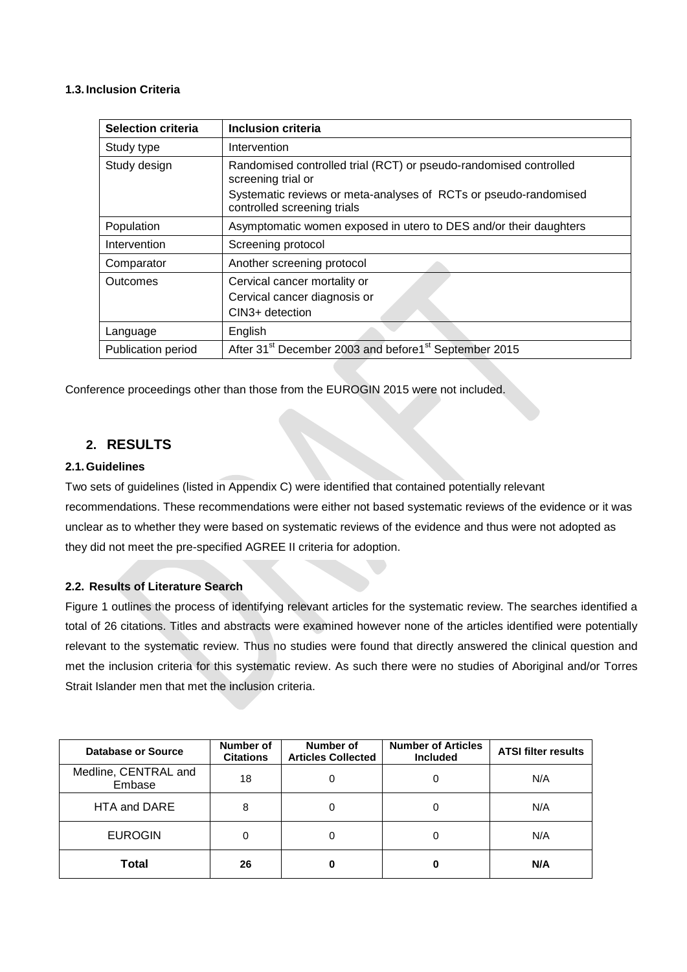#### **1.3. Inclusion Criteria**

| <b>Selection criteria</b> | Inclusion criteria                                                                                                                                                                         |  |
|---------------------------|--------------------------------------------------------------------------------------------------------------------------------------------------------------------------------------------|--|
| Study type                | Intervention                                                                                                                                                                               |  |
| Study design              | Randomised controlled trial (RCT) or pseudo-randomised controlled<br>screening trial or<br>Systematic reviews or meta-analyses of RCTs or pseudo-randomised<br>controlled screening trials |  |
| Population                | Asymptomatic women exposed in utero to DES and/or their daughters                                                                                                                          |  |
| Intervention              | Screening protocol                                                                                                                                                                         |  |
| Comparator                | Another screening protocol                                                                                                                                                                 |  |
| Outcomes                  | Cervical cancer mortality or<br>Cervical cancer diagnosis or<br>CIN3+ detection                                                                                                            |  |
| Language                  | English                                                                                                                                                                                    |  |
| Publication period        | After 31 <sup>st</sup> December 2003 and before1 <sup>st</sup> September 2015                                                                                                              |  |

Conference proceedings other than those from the EUROGIN 2015 were not included.

### **2. RESULTS**

#### **2.1.Guidelines**

Two sets of guidelines (listed in Appendix C) were identified that contained potentially relevant recommendations. These recommendations were either not based systematic reviews of the evidence or it was unclear as to whether they were based on systematic reviews of the evidence and thus were not adopted as they did not meet the pre-specified AGREE II criteria for adoption.

#### **2.2. Results of Literature Search**

Figure 1 outlines the process of identifying relevant articles for the systematic review. The searches identified a total of 26 citations. Titles and abstracts were examined however none of the articles identified were potentially relevant to the systematic review. Thus no studies were found that directly answered the clinical question and met the inclusion criteria for this systematic review. As such there were no studies of Aboriginal and/or Torres Strait Islander men that met the inclusion criteria.

| Database or Source             | Number of<br><b>Citations</b> | Number of<br><b>Articles Collected</b> | <b>Number of Articles</b><br><b>Included</b> | <b>ATSI filter results</b> |
|--------------------------------|-------------------------------|----------------------------------------|----------------------------------------------|----------------------------|
| Medline, CENTRAL and<br>Embase | 18                            | 0                                      | 0                                            | N/A                        |
| HTA and DARE                   | 8                             | 0                                      | 0                                            | N/A                        |
| <b>EUROGIN</b>                 | 0                             | 0                                      | 0                                            | N/A                        |
| Total                          | 26                            | 0                                      | 0                                            | N/A                        |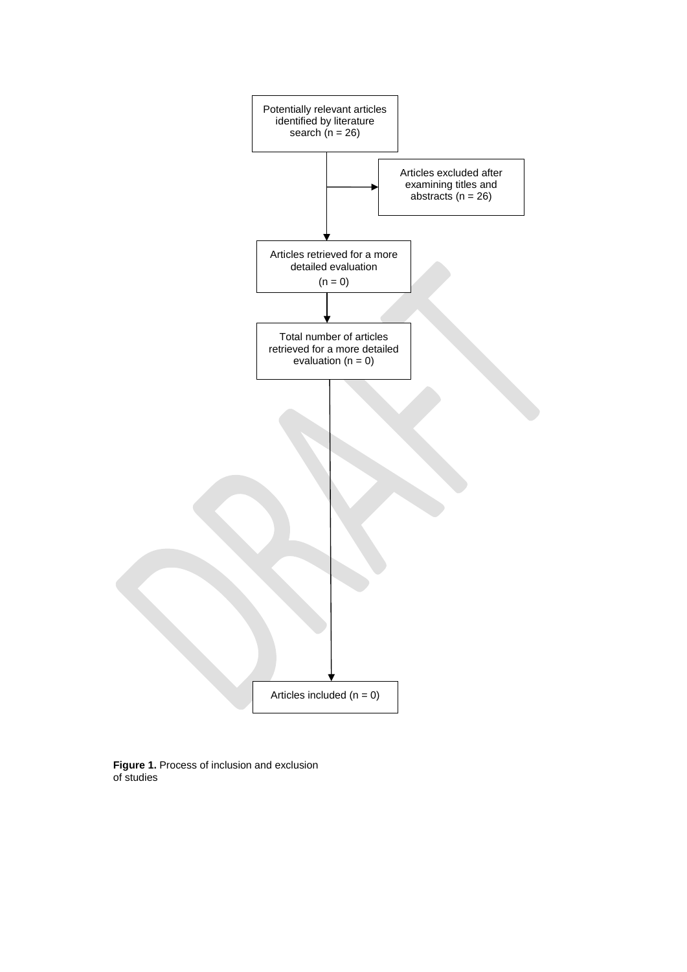

**Figure 1.** Process of inclusion and exclusion of studies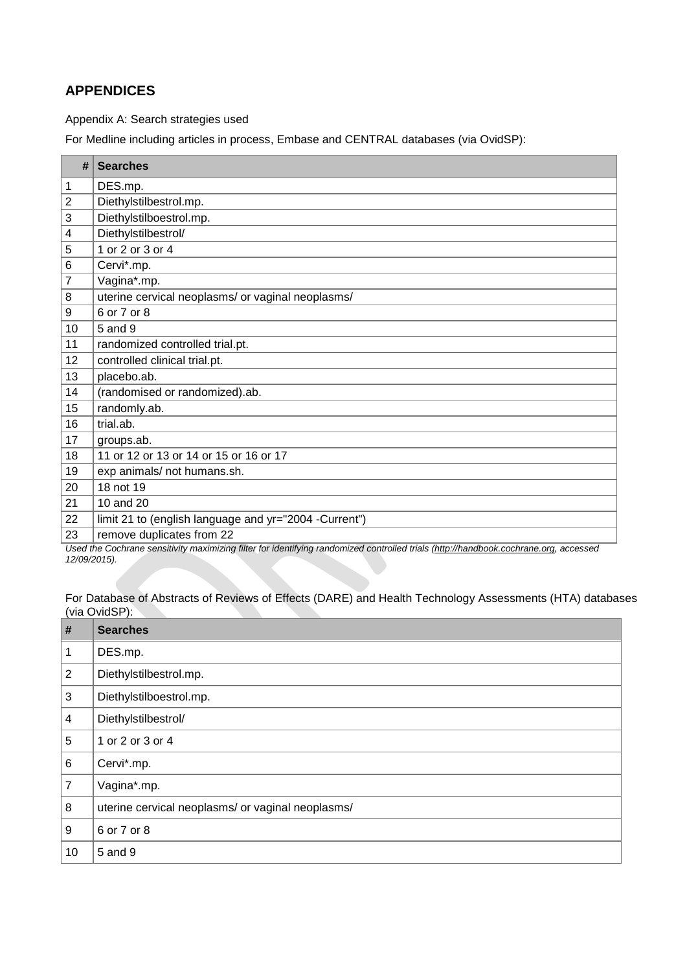# **APPENDICES**

#### Appendix A: Search strategies used

For Medline including articles in process, Embase and CENTRAL databases (via OvidSP):

| #               | <b>Searches</b>                                       |
|-----------------|-------------------------------------------------------|
| 1               | DES.mp.                                               |
| $\overline{2}$  | Diethylstilbestrol.mp.                                |
| 3               | Diethylstilboestrol.mp.                               |
| 4               | Diethylstilbestrol/                                   |
| 5               | 1 or 2 or 3 or 4                                      |
| $6\phantom{1}6$ | Cervi*.mp.                                            |
| $\overline{7}$  | Vagina*.mp.                                           |
| 8               | uterine cervical neoplasms/ or vaginal neoplasms/     |
| 9               | 6 or 7 or 8                                           |
| 10              | 5 and 9                                               |
| 11              | randomized controlled trial.pt.                       |
| 12              | controlled clinical trial.pt.                         |
| 13              | placebo.ab.                                           |
| 14              | (randomised or randomized).ab.                        |
| 15              | randomly.ab.                                          |
| 16              | trial.ab.                                             |
| 17              | groups.ab.                                            |
| 18              | 11 or 12 or 13 or 14 or 15 or 16 or 17                |
| 19              | exp animals/ not humans.sh.                           |
| 20              | 18 not 19                                             |
| 21              | 10 and 20                                             |
| 22              | limit 21 to (english language and yr="2004 -Current") |
| 23              | remove duplicates from 22                             |

*Used the Cochrane sensitivity maximizing filter for identifying randomized controlled trials [\(http://handbook.cochrane.org,](http://handbook.cochrane.org/) accessed 12/09/2015).*

For Database of Abstracts of Reviews of Effects (DARE) and Health Technology Assessments (HTA) databases (via OvidSP):

| #              | <b>Searches</b>                                   |
|----------------|---------------------------------------------------|
| 1              | DES.mp.                                           |
| 2              | Diethylstilbestrol.mp.                            |
| 3              | Diethylstilboestrol.mp.                           |
| $\overline{4}$ | Diethylstilbestrol/                               |
| 5              | 1 or 2 or 3 or 4                                  |
| 6              | Cervi*.mp.                                        |
| $\overline{7}$ | Vagina*.mp.                                       |
| 8              | uterine cervical neoplasms/ or vaginal neoplasms/ |
| 9              | 6 or 7 or 8                                       |
| 10             | 5 and 9                                           |